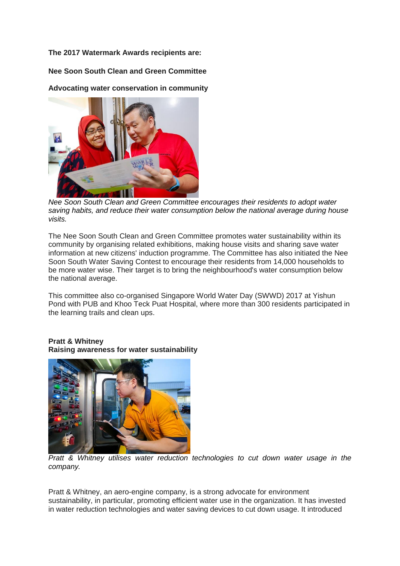**The 2017 Watermark Awards recipients are:**

**Nee Soon South Clean and Green Committee**

**Advocating water conservation in community**



*Nee Soon South Clean and Green Committee encourages their residents to adopt water saving habits, and reduce their water consumption below the national average during house visits.*

The Nee Soon South Clean and Green Committee promotes water sustainability within its community by organising related exhibitions, making house visits and sharing save water information at new citizens' induction programme. The Committee has also initiated the Nee Soon South Water Saving Contest to encourage their residents from 14,000 households to be more water wise. Their target is to bring the neighbourhood's water consumption below the national average.

This committee also co-organised Singapore World Water Day (SWWD) 2017 at Yishun Pond with PUB and Khoo Teck Puat Hospital, where more than 300 residents participated in the learning trails and clean ups.

## **Pratt & Whitney Raising awareness for water sustainability**



*Pratt & Whitney utilises water reduction technologies to cut down water usage in the company.*

Pratt & Whitney, an aero-engine company, is a strong advocate for environment sustainability, in particular, promoting efficient water use in the organization. It has invested in water reduction technologies and water saving devices to cut down usage. It introduced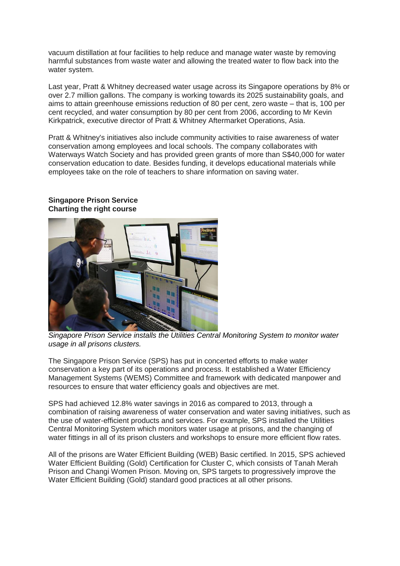vacuum distillation at four facilities to help reduce and manage water waste by removing harmful substances from waste water and allowing the treated water to flow back into the water system.

Last year, Pratt & Whitney decreased water usage across its Singapore operations by 8% or over 2.7 million gallons. The company is working towards its 2025 sustainability goals, and aims to attain greenhouse emissions reduction of 80 per cent, zero waste – that is, 100 per cent recycled, and water consumption by 80 per cent from 2006, according to Mr Kevin Kirkpatrick, executive director of Pratt & Whitney Aftermarket Operations, Asia.

Pratt & Whitney's initiatives also include community activities to raise awareness of water conservation among employees and local schools. The company collaborates with Waterways Watch Society and has provided green grants of more than S\$40,000 for water conservation education to date. Besides funding, it develops educational materials while employees take on the role of teachers to share information on saving water.



## **Singapore Prison Service Charting the right course**

*Singapore Prison Service installs the Utilities Central Monitoring System to monitor water usage in all prisons clusters.*

The Singapore Prison Service (SPS) has put in concerted efforts to make water conservation a key part of its operations and process. It established a Water Efficiency Management Systems (WEMS) Committee and framework with dedicated manpower and resources to ensure that water efficiency goals and objectives are met.

SPS had achieved 12.8% water savings in 2016 as compared to 2013, through a combination of raising awareness of water conservation and water saving initiatives, such as the use of water-efficient products and services. For example, SPS installed the Utilities Central Monitoring System which monitors water usage at prisons, and the changing of water fittings in all of its prison clusters and workshops to ensure more efficient flow rates.

All of the prisons are Water Efficient Building (WEB) Basic certified. In 2015, SPS achieved Water Efficient Building (Gold) Certification for Cluster C, which consists of Tanah Merah Prison and Changi Women Prison. Moving on, SPS targets to progressively improve the Water Efficient Building (Gold) standard good practices at all other prisons.